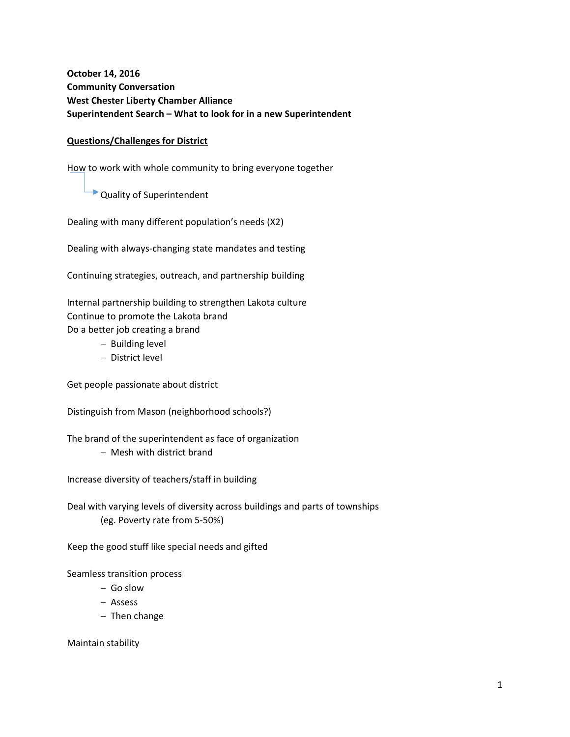**October 14, 2016 Community Conversation West Chester Liberty Chamber Alliance Superintendent Search – What to look for in a new Superintendent**

### **Questions/Challenges for District**

How to work with whole community to bring everyone together

**Quality of Superintendent** 

Dealing with many different population's needs (X2)

Dealing with always‐changing state mandates and testing

Continuing strategies, outreach, and partnership building

Internal partnership building to strengthen Lakota culture Continue to promote the Lakota brand Do a better job creating a brand

- Building level
- District level

Get people passionate about district

Distinguish from Mason (neighborhood schools?)

The brand of the superintendent as face of organization Mesh with district brand

Increase diversity of teachers/staff in building

Deal with varying levels of diversity across buildings and parts of townships (eg. Poverty rate from 5‐50%)

Keep the good stuff like special needs and gifted

Seamless transition process

- $-$  Go slow
- Assess
- $-$  Then change

Maintain stability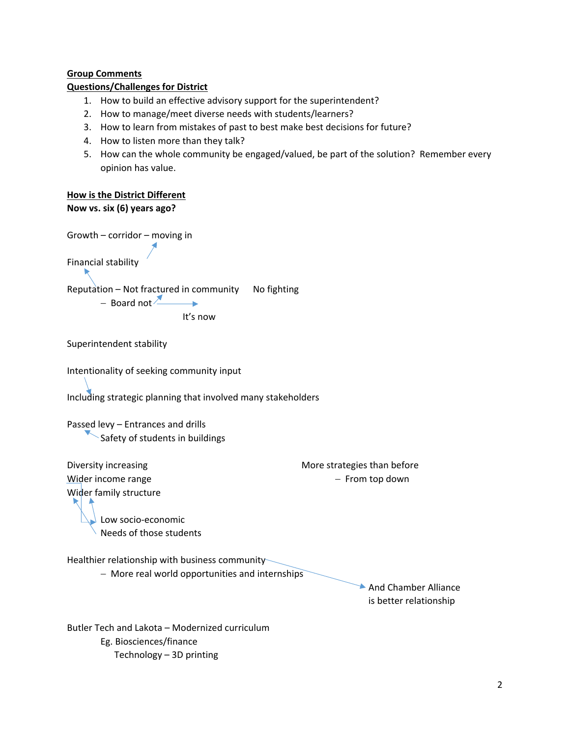# **Group Comments**

# **Questions/Challenges for District**

- 1. How to build an effective advisory support for the superintendent?
- 2. How to manage/meet diverse needs with students/learners?
- 3. How to learn from mistakes of past to best make best decisions for future?
- 4. How to listen more than they talk?
- 5. How can the whole community be engaged/valued, be part of the solution? Remember every opinion has value.

# **How is the District Different**

```
Now vs. six (6) years ago?
```
Growth – corridor – moving in Financial stability Reputation – Not fractured in community No fighting  $-$  Board not  $\geq$  $\rightarrow$ 

It's now

```
Superintendent stability
```
Intentionality of seeking community input

Including strategic planning that involved many stakeholders

Passed levy – Entrances and drills Safety of students in buildings

Wider income range **Wider income range**  $\sim$  **From top down** Wider family structure Low socio‐economic

Diversity increasing **BECON CONTENT CONTENT CONTENT** More strategies than before

Needs of those students

Healthier relationship with business community

- More real world opportunities and internships

And Chamber Alliance is better relationship

Butler Tech and Lakota – Modernized curriculum Eg. Biosciences/finance Technology – 3D printing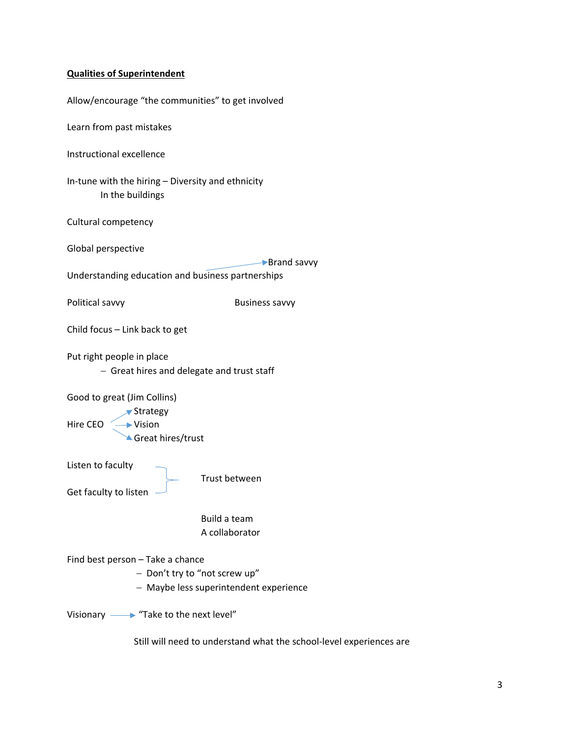# **Qualities of Superintendent**

| Allow/encourage "the communities" to get involved                                                           |                                |
|-------------------------------------------------------------------------------------------------------------|--------------------------------|
| Learn from past mistakes                                                                                    |                                |
| <b>Instructional excellence</b>                                                                             |                                |
| In-tune with the hiring - Diversity and ethnicity<br>In the buildings                                       |                                |
| Cultural competency                                                                                         |                                |
| Global perspective                                                                                          | ▶ Brand savvy                  |
| Understanding education and business partnerships                                                           |                                |
| Political savvy                                                                                             | <b>Business savvy</b>          |
| Child focus - Link back to get                                                                              |                                |
| Put right people in place<br>- Great hires and delegate and trust staff                                     |                                |
| Good to great (Jim Collins)<br>$\blacktriangleright$ Strategy<br>Hire CEO - Vision<br>Great hires/trust     |                                |
| Listen to faculty<br>Get faculty to listen                                                                  | Trust between                  |
|                                                                                                             | Build a team<br>A collaborator |
| Find best person - Take a chance<br>- Don't try to "not screw up"<br>- Maybe less superintendent experience |                                |
| Visionary $\longrightarrow$ "Take to the next level"                                                        |                                |

Still will need to understand what the school‐level experiences are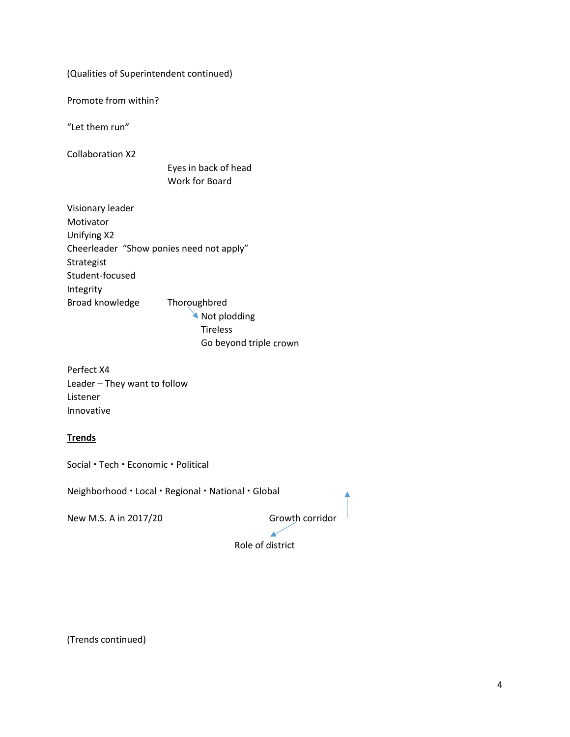(Qualities of Superintendent continued)

Promote from within?

"Let them run"

Collaboration X2

 Eyes in back of head Work for Board

Visionary leader Motivator Unifying X2 Cheerleader "Show ponies need not apply" Strategist Student‐focused Integrity Broad knowledge Thoroughbred Not plodding

 Tireless Go beyond triple crown

Perfect X4 Leader – They want to follow Listener Innovative

# **Trends**

Social • Tech • Economic • Political

Neighborhood · Local · Regional · National · Global

New M.S. A in 2017/20 Growth corridor

Role of district

(Trends continued)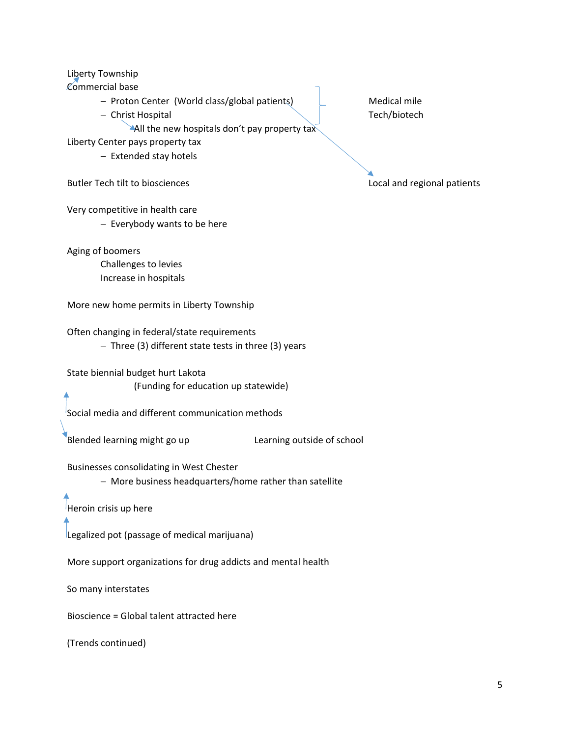Liberty Township

Commercial base

Proton Center (World class/global patients) Medical mile

- Christ Hospital **The Christ Hospital** Christ Hospital Christ Christ Tech/biotech

All the new hospitals don't pay property tax

Liberty Center pays property tax

- Extended stay hotels

Butler Tech tilt to biosciences Local and regional patients

Very competitive in health care

- Everybody wants to be here

Aging of boomers

Challenges to levies Increase in hospitals

More new home permits in Liberty Township

Often changing in federal/state requirements  $-$  Three (3) different state tests in three (3) years

State biennial budget hurt Lakota (Funding for education up statewide)

Social media and different communication methods

Blended learning might go up **Sand Clearning outside of school** 

Businesses consolidating in West Chester

More business headquarters/home rather than satellite

Heroin crisis up here

Legalized pot (passage of medical marijuana)

More support organizations for drug addicts and mental health

So many interstates

Bioscience = Global talent attracted here

(Trends continued)